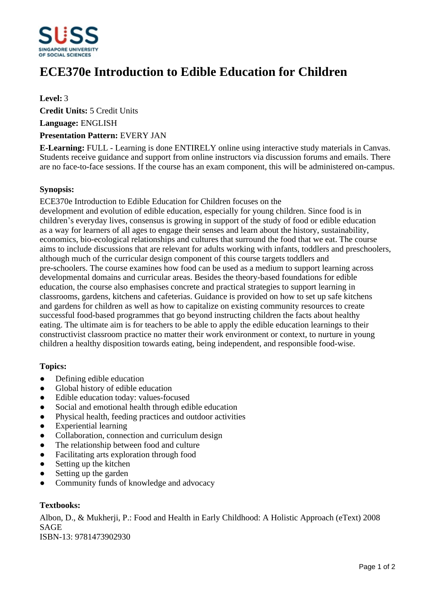

# **ECE370e Introduction to Edible Education for Children**

**Level:** 3

**Credit Units:** 5 Credit Units

**Language:** ENGLISH

## **Presentation Pattern:** EVERY JAN

**E-Learning:** FULL - Learning is done ENTIRELY online using interactive study materials in Canvas. Students receive guidance and support from online instructors via discussion forums and emails. There are no face-to-face sessions. If the course has an exam component, this will be administered on-campus.

## **Synopsis:**

ECE370e Introduction to Edible Education for Children focuses on the development and evolution of edible education, especially for young children. Since food is in children's everyday lives, consensus is growing in support of the study of food or edible education as a way for learners of all ages to engage their senses and learn about the history, sustainability, economics, bio-ecological relationships and cultures that surround the food that we eat. The course aims to include discussions that are relevant for adults working with infants, toddlers and preschoolers, although much of the curricular design component of this course targets toddlers and pre-schoolers. The course examines how food can be used as a medium to support learning across developmental domains and curricular areas. Besides the theory-based foundations for edible education, the course also emphasises concrete and practical strategies to support learning in classrooms, gardens, kitchens and cafeterias. Guidance is provided on how to set up safe kitchens and gardens for children as well as how to capitalize on existing community resources to create successful food-based programmes that go beyond instructing children the facts about healthy eating. The ultimate aim is for teachers to be able to apply the edible education learnings to their constructivist classroom practice no matter their work environment or context, to nurture in young children a healthy disposition towards eating, being independent, and responsible food-wise.

#### **Topics:**

- Defining edible education
- Global history of edible education
- Edible education today: values-focused
- Social and emotional health through edible education
- Physical health, feeding practices and outdoor activities
- Experiential learning
- Collaboration, connection and curriculum design
- The relationship between food and culture
- Facilitating arts exploration through food
- $\bullet$  Setting up the kitchen
- Setting up the garden
- ƔCommunity funds of knowledge and advocacy

# **Textbooks:**

Albon, D., & Mukherji, P.: Food and Health in Early Childhood: A Holistic Approach (eText) 2008 SAGE ISBN-13: 9781473902930

Page 1 of 2